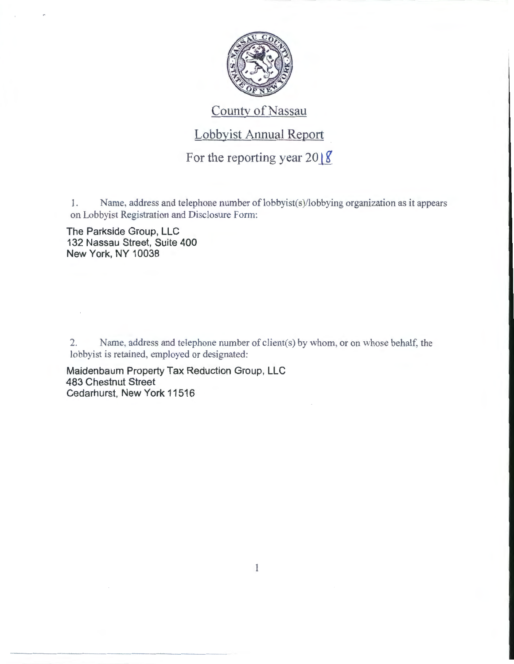

## County of Nassau

## Lobbyist Annual Report

For the reporting year  $2018$ 

1. Name, address and telephone number of lobbyist(s)/lobbying organization as it appears on Lobbyist Registration and Disclosure Form:

The Parkside Group, LLC 132 Nassau Street, Suite 400 New York, NY 10038

---------

2. Name, address and telephone number of client(s) by whom, or on whose behalf, the lobbyist is retained, employed or designated:

Maidenbaum Property Tax Reduction Group, LLC 483 Chestnut Street Cedarhurst, New York 11516

 $\mathbf{1}$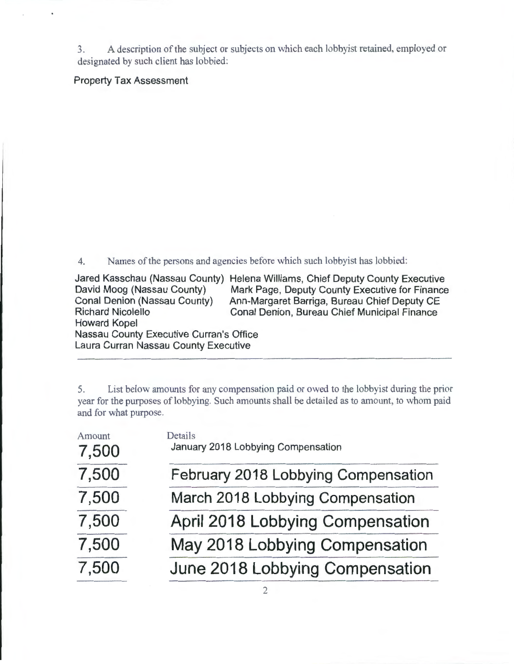3. A description of the subject or subjects on which each lobbyist retained, employed or designated by such client has lobbied:

Property Tax Assessment

4. Names of the persons and agencies before which such lobbyist has lobbied:

Jared Kasschau (Nassau County) Helena Williams, Chief Deputy County Executive David Moog (Nassau County) Mark Page, Deputy County Executive for Finance<br>Conal Denion (Nassau County) Ann-Margaret Barriga, Bureau Chief Deputy CE Conal Denion (Nassau County) Ann-Margaret Barriga, Bureau Chief Deputy CE Conal Denion, Bureau Chief Municipal Finance Howard Kopel Nassau County Executive Curran's Office Laura Curran Nassau County Executive

5. List below amounts for any compensation paid or owed to the lobbyist during the prior year for the purposes of lobbying. Such amounts shall be detailed as to amount, to whom paid and for what purpose.

| Amount<br>7,500 | Details<br>January 2018 Lobbying Compensation |
|-----------------|-----------------------------------------------|
| 7,500           | February 2018 Lobbying Compensation           |
| 7,500           | March 2018 Lobbying Compensation              |
| 7,500           | April 2018 Lobbying Compensation              |
| 7,500           | May 2018 Lobbying Compensation                |
| 7,500           | June 2018 Lobbying Compensation               |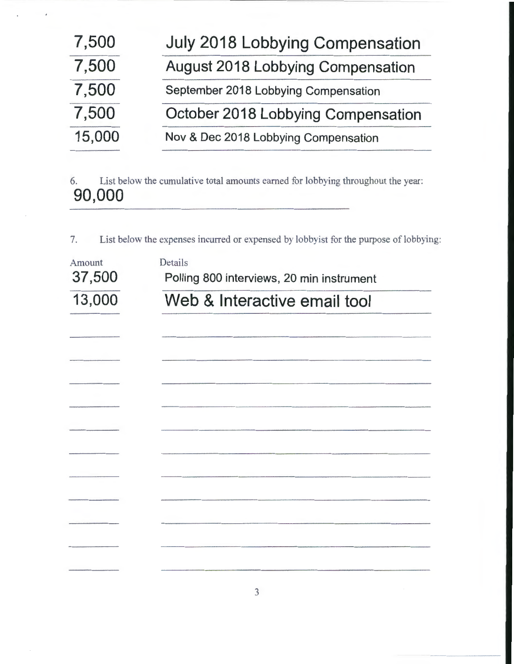| 7,500  | July 2018 Lobbying Compensation          |
|--------|------------------------------------------|
| 7,500  | <b>August 2018 Lobbying Compensation</b> |
| 7,500  | September 2018 Lobbying Compensation     |
| 7,500  | October 2018 Lobbying Compensation       |
| 15,000 | Nov & Dec 2018 Lobbying Compensation     |

6. List below the cumulative total amounts earned for lobbying throughout the year: 90,000

7. List below the expenses incurred or expensed by lobbyist for the purpose of lobbying:

| Amount<br>37,500 | Details<br>Polling 800 interviews, 20 min instrument |  |  |
|------------------|------------------------------------------------------|--|--|
| 13,000           | Web & Interactive email tool                         |  |  |
|                  |                                                      |  |  |
|                  |                                                      |  |  |
|                  |                                                      |  |  |
|                  |                                                      |  |  |
|                  |                                                      |  |  |
|                  |                                                      |  |  |
|                  |                                                      |  |  |
|                  |                                                      |  |  |
|                  |                                                      |  |  |
|                  |                                                      |  |  |
|                  |                                                      |  |  |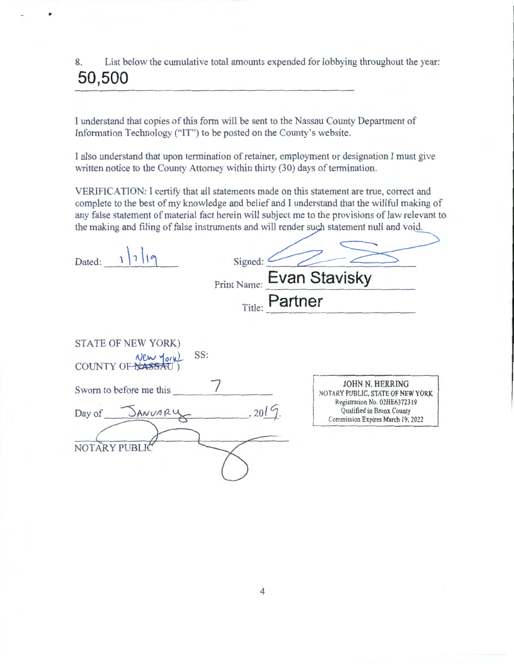8. List below the cumulative total amounts expended for lobbying throughout the year: **50,500** 

•

I understand that copies of this form will be sent to the Nassau County Department of Information Technology ("IT") to be posted on the County's website.

I also understand that upon termination of retainer, employment or designation I must give written notice to the County Attorney within thirty (30) days of termination.

VERIFICATION: I certify that all statements made on this statement are true, correct and complete to the best of my knowledge and belief and I understand that the willful making of any false statement of material fact herein will subject me to the provisions of law relevant to the making and filing of false instruments and will render such statement null and void.

| Dated:                                                                                                       | Signed:<br>Print Name:<br>Title: Partner | <b>Evan Stavisky</b>                                                                                                                                  |
|--------------------------------------------------------------------------------------------------------------|------------------------------------------|-------------------------------------------------------------------------------------------------------------------------------------------------------|
| STATE OF NEW YORK)<br>SS:<br>COUNTY OF New York<br>Sworn to before me this<br>Day of JANUARY<br>NOTARY PUBLI | , 2019.                                  | JOHN N. HERRING<br>NOTARY PUBLIC, STATE OF NEW YORK<br>Registration No. 02HE6372319<br>Qualified in Bronx County<br>Commission Expires March 19, 2022 |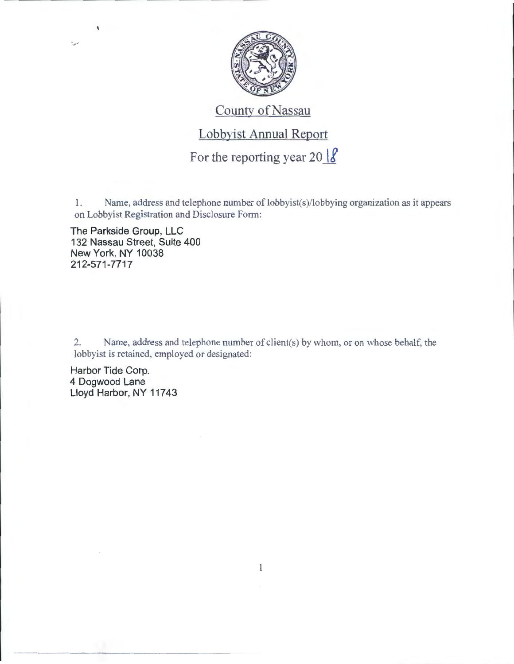

## County of Nassau

## Lobbyist Annual Report

For the reporting year  $20 \frac{18}{10}$ 

1. Name, address and telephone number of lobbyist(s)/lobbying organization as it appears on Lobbyist Registration and Disclosure Fotm:

The Parkside Group, LLC 132 Nassau Street, Suite 400 New York, NY 10038 212-571-7717

 $\pmb{\S}$ 

من

2. Name. address and telephone number of client(s) by whom, or on whose behalf, the lobbyist is retained, employed or designated:

 $\mathbf{l}$ 

Harbor Tide Corp. 4 Dogwood Lane Lloyd Harbor, NY 11743

------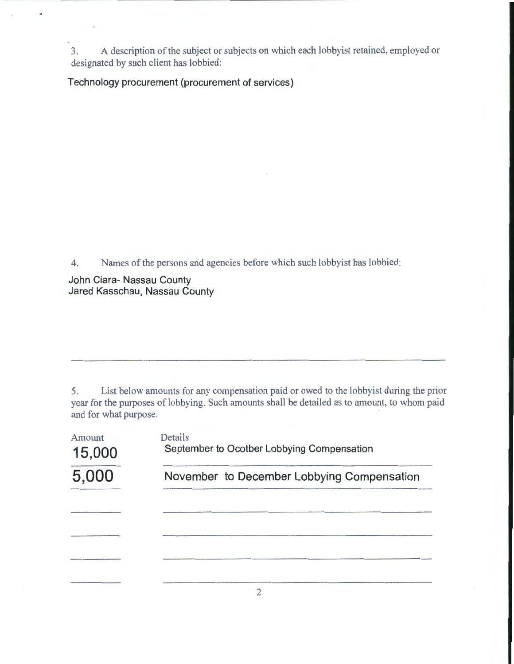3. A description of the subject or subjects on which each lobbyist retained, employed or designated by such client has lobbied:

**Technology procurement (procurement of services)** 

4. Names of the persons and agencies before which such lobbyist has lobbied:

**John Ciara- Nassau County Jared Kasschau, Nassau County** 

5. List below amounts for any compensation paid or owed to the lobbyist during the prior year for the purposes of lobbying. Such amounts shall be detailed as to amount, to whom paid and for what purpose.

| Amount<br>15,000 | Details<br>September to Ocotber Lobbying Compensation |  |  |
|------------------|-------------------------------------------------------|--|--|
| 5,000            | November to December Lobbying Compensation            |  |  |
|                  |                                                       |  |  |
|                  |                                                       |  |  |
|                  |                                                       |  |  |
|                  |                                                       |  |  |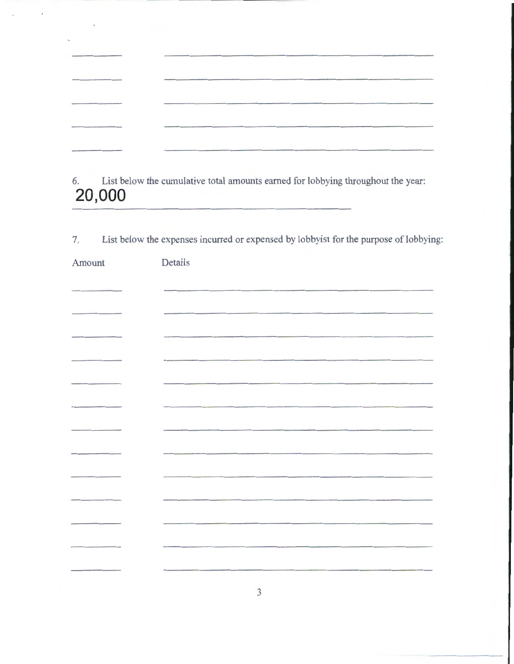| and the second control of the control of the control of the control of the control of the control of the control of the control of the control of the control of the control of the control of the control of the control of t | advertising the characteristic contracts<br>mention de la considération de la constanta de que de conserva en metro en en el estrelle qui                                                                                      |
|--------------------------------------------------------------------------------------------------------------------------------------------------------------------------------------------------------------------------------|--------------------------------------------------------------------------------------------------------------------------------------------------------------------------------------------------------------------------------|
| AN AN ART WAS CITED FOR THE RESIDENCE OF A 44 YO F LOW CONTINUES.                                                                                                                                                              | Address-communication and communication of the com-                                                                                                                                                                            |
| with the contract of the contract of the contract of the contract of the contract of the contract of the contract of the contract of the contract of the contract of the contract of the contract of the contract of the contr |                                                                                                                                                                                                                                |
| Announcement address to the content of the content of the content of                                                                                                                                                           |                                                                                                                                                                                                                                |
| Production of the process and constraints are a product of the constraints                                                                                                                                                     | straightful thinking the basic materials and company was a political discussion and company and company and complete the first product of the company of the company of the company of the company of the company of the compa |

J

6. List below the cumulative total amounts earned for lobbying throughout the year: **20,000** 

| List below the expenses incurred or expensed by lobby ist for the purpose of lobbying: |  |
|----------------------------------------------------------------------------------------|--|
|----------------------------------------------------------------------------------------|--|

| Amount | Details |
|--------|---------|
|        |         |
|        |         |
|        |         |
|        |         |
|        |         |
|        |         |
|        |         |
|        |         |
|        |         |
|        |         |
|        |         |
|        |         |
|        |         |
|        | 3       |